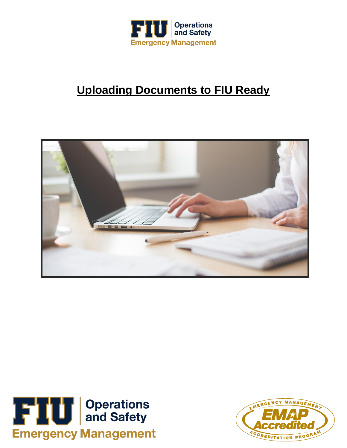

## **Uploading Documents to FIU Ready**





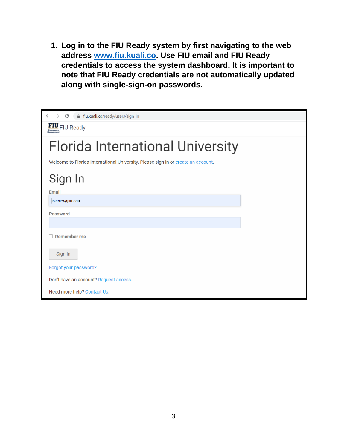**1. Log in to the FIU Ready system by first navigating to the web address [www.fiu.kuali.co.](www.fiu.kuali.co) Use FIU email and FIU Ready credentials to access the system dashboard. It is important to note that FIU Ready credentials are not automatically updated along with single-sign-on passwords.**

| $\leftarrow$ $\rightarrow$ C<br>fiu.kuali.co/ready/users/sign_in                  |  |  |  |  |  |  |  |
|-----------------------------------------------------------------------------------|--|--|--|--|--|--|--|
| FIU FIU Ready                                                                     |  |  |  |  |  |  |  |
| <b>Florida International University</b>                                           |  |  |  |  |  |  |  |
| Welcome to Florida International University. Please sign in or create an account. |  |  |  |  |  |  |  |
| Sign In                                                                           |  |  |  |  |  |  |  |
| Email                                                                             |  |  |  |  |  |  |  |
| biehler@fiu.edu                                                                   |  |  |  |  |  |  |  |
| <b>Password</b>                                                                   |  |  |  |  |  |  |  |
|                                                                                   |  |  |  |  |  |  |  |
| <b>Remember me</b>                                                                |  |  |  |  |  |  |  |
| Sign In                                                                           |  |  |  |  |  |  |  |
| Forgot your password?                                                             |  |  |  |  |  |  |  |
| Don't have an account? Request access.                                            |  |  |  |  |  |  |  |
| Need more help? Contact Us.                                                       |  |  |  |  |  |  |  |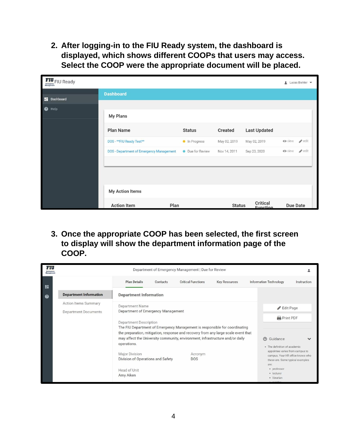**2. After logging-in to the FIU Ready system, the dashboard is displayed, which shows different COOPs that users may access. Select the COOP were the appropriate document will be placed.**

| <b>FIU</b><br><b>FIU</b><br><b>FIU</b><br><b>Ready</b><br><b>Ready</b> |                                          |                  |                |                             | Lucas Biehler                               |  |
|------------------------------------------------------------------------|------------------------------------------|------------------|----------------|-----------------------------|---------------------------------------------|--|
| <b>Dashboard</b>                                                       | <b>Dashboard</b>                         |                  |                |                             |                                             |  |
| ❷<br>Help                                                              |                                          |                  |                |                             |                                             |  |
|                                                                        | <b>My Plans</b>                          |                  |                |                             |                                             |  |
|                                                                        | <b>Plan Name</b>                         | <b>Status</b>    | <b>Created</b> | <b>Last Updated</b>         |                                             |  |
|                                                                        | DOS - ** FIU Ready Test**                | In Progress      | May 02, 2019   | May 02, 2019                | $\blacktriangleright$ edit<br><b>O</b> view |  |
|                                                                        | DOS - Department of Emergency Management | • Due for Review | Nov 14, 2011   | Sep 23, 2020                | $\blacktriangleright$ edit<br><b>O</b> view |  |
|                                                                        | <b>My Action Items</b>                   |                  |                |                             |                                             |  |
|                                                                        | <b>Action Item</b><br>Plan               |                  | <b>Status</b>  | <b>Critical</b><br>Eunetion | <b>Due Date</b>                             |  |

**3. Once the appropriate COOP has been selected, the first screen to display will show the department information page of the COOP.**

| <b>Plan Details</b><br>H<br><b>Department Information</b><br><b>Department Information</b><br>❷<br>Action Items Summary                              | Contacts                                                                                                                                                                                                                                                                                                                                                                                                                                          | <b>Critical Functions</b> | <b>Key Resources</b> | Information Technology | Instruction                                                                                                                              |
|------------------------------------------------------------------------------------------------------------------------------------------------------|---------------------------------------------------------------------------------------------------------------------------------------------------------------------------------------------------------------------------------------------------------------------------------------------------------------------------------------------------------------------------------------------------------------------------------------------------|---------------------------|----------------------|------------------------|------------------------------------------------------------------------------------------------------------------------------------------|
| <b>Department Name</b><br>Department Documents<br><b>Department Description</b><br>operations.<br><b>Major Division</b><br>Head of Unit<br>Amy Aiken | Department of Emergency Management<br>The FIU Department of Emergency Management is responsible for coordinating<br>the preparation, mitigation, response and recovery from any large scale event that<br>may affect the University community, environment, infrastructure and/or daily<br>$\odot$<br>Guidance<br>· The definition of academic<br>Acronym<br>Division of Operations and Safety<br><b>DOS</b><br>are:<br>· professor<br>· lecturer |                           |                      |                        | Edit Page<br><b>Print PDF</b><br>appointee varies from campus to<br>campus. Your HR office knows who<br>these are. Some typical examples |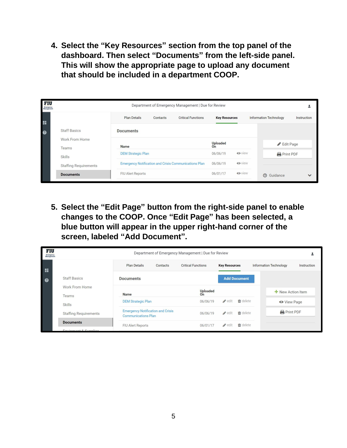**4. Select the "Key Resources" section from the top panel of the dashboard. Then select "Documents" from the left-side panel. This will show the appropriate page to upload any document that should be included in a department COOP.**

| FIU<br>Emergency<br>Management | Department of Emergency Management   Due for Review      |                           |          |                                                              |                       |               |                               |              |  |
|--------------------------------|----------------------------------------------------------|---------------------------|----------|--------------------------------------------------------------|-----------------------|---------------|-------------------------------|--------------|--|
| 92                             |                                                          | <b>Plan Details</b>       | Contacts | <b>Critical Functions</b>                                    | <b>Key Resources</b>  |               | <b>Information Technology</b> | Instruction  |  |
| 0                              | <b>Staff Basics</b><br>Work From Home<br>Teams<br>Skills | <b>Documents</b>          |          |                                                              |                       |               |                               |              |  |
|                                |                                                          | <b>Name</b>               |          |                                                              | <b>Uploaded</b><br>On |               | Edit Page                     |              |  |
|                                |                                                          | <b>DEM Strategic Plan</b> |          |                                                              | 06/06/19              | <b>O</b> view | <b>Print PDF</b>              |              |  |
|                                | <b>Staffing Requirements</b>                             |                           |          | <b>Emergency Notification and Crisis Communications Plan</b> | 06/06/19              | <b>O</b> view |                               |              |  |
|                                | <b>Documents</b>                                         | FIU Alert Reports         |          |                                                              | 06/01/17              | <b>O</b> view | $\odot$<br>Guidance           | $\checkmark$ |  |

**5. Select the "Edit Page" button from the right-side panel to enable changes to the COOP. Once "Edit Page" has been selected, a blue button will appear in the upper right-hand corner of the screen, labeled "Add Document".**

| FIU<br><b>Emergency</b><br>Management |                              | Department of Emergency Management   Due for Review                    |                           |                                   |                               |             |
|---------------------------------------|------------------------------|------------------------------------------------------------------------|---------------------------|-----------------------------------|-------------------------------|-------------|
| $\mathbf{H}$                          |                              | <b>Plan Details</b><br>Contacts                                        | <b>Critical Functions</b> | <b>Key Resources</b>              | <b>Information Technology</b> | Instruction |
| $\bullet$                             | <b>Staff Basics</b>          | <b>Documents</b>                                                       |                           | <b>Add Document</b>               |                               |             |
|                                       | Work From Home<br>Teams      | <b>Name</b>                                                            | <b>Uploaded</b><br>On     |                                   | New Action Item               |             |
|                                       | Skills                       | <b>DEM Strategic Plan</b>                                              | 06/06/19                  | $\mathbf{\hat{m}}$ delete<br>edit | <b>O</b> View Page            |             |
|                                       | <b>Staffing Requirements</b> | <b>Emergency Notification and Crisis</b><br><b>Communications Plan</b> | 06/06/19                  | fin delete<br>edit                | <b>Print PDF</b>              |             |
|                                       | <b>Documents</b>             | FIU Alert Reports                                                      | 06/01/17                  | <b>ff</b> delete<br>edit          |                               |             |
|                                       | Equipment Complian           |                                                                        |                           |                                   |                               |             |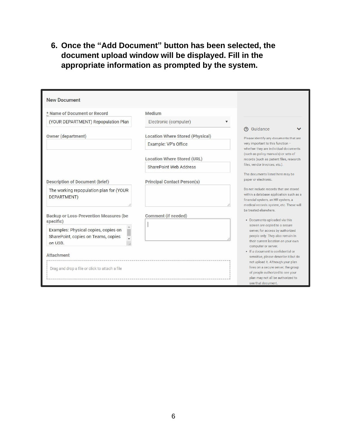**6. Once the "Add Document" button has been selected, the document upload window will be displayed. Fill in the appropriate information as prompted by the system.**

| <b>New Document</b>                                                                    |                                         |                                                                                                                                                                         |
|----------------------------------------------------------------------------------------|-----------------------------------------|-------------------------------------------------------------------------------------------------------------------------------------------------------------------------|
| * Name of Document or Record                                                           | Medium                                  |                                                                                                                                                                         |
| (YOUR DEPARTMENT) Repopulation Plan                                                    | Electronic (computer)                   |                                                                                                                                                                         |
| Owner (department)                                                                     | <b>Location Where Stored (Physical)</b> | ල Guidance<br>Please identify any documents that are                                                                                                                    |
|                                                                                        | Example: VP's Office                    | very important to this function -<br>whether they are individual documents                                                                                              |
|                                                                                        | <b>Location Where Stored (URL)</b>      | (such as policy manuals) or sets of<br>records (such as patient files, research                                                                                         |
|                                                                                        | SharePoint Web Address                  | files, vendor invoices, etc.).                                                                                                                                          |
| <b>Description of Document (brief)</b>                                                 | <b>Principal Contact Person(s)</b>      | The documents listed here may be<br>paper or electronic.                                                                                                                |
| The working repopulation plan for (YOUR<br>DEPARTMENT)                                 |                                         | Do not include records that are stored<br>within a database application such as a<br>financial system, an HR system, a<br>medical records system, etc. These will       |
| <b>Backup or Loss-Prevention Measures (be</b><br>specific)                             | Comment (if needed)                     | be treated elsewhere.<br>• Documents uploaded via this                                                                                                                  |
| Examples: Physical copies, copies on<br>SharePoint, copies on Teams, copies<br>on USB. |                                         | screen are copied to a secure<br>server, for access by authorized<br>people only. They also remain in<br>their current location on your own<br>computer or server.      |
| <b>Attachment</b>                                                                      |                                         | · If a document is confidential or<br>sensitive, please describe it but do                                                                                              |
| Drag and drop a file or click to attach a file                                         |                                         | not upload it. Although your plan<br>lives on a secure server, the group<br>of people authorized to see your<br>plan may not all be authorized to<br>see that document. |